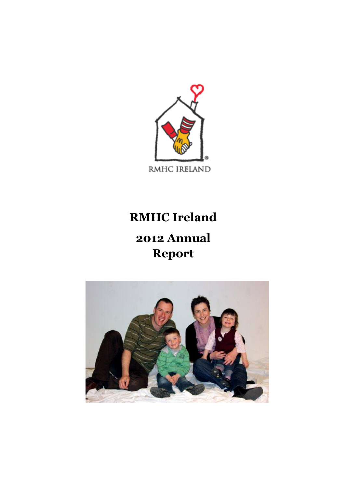

# **RMHC Ireland**

# **2012 Annual Report**

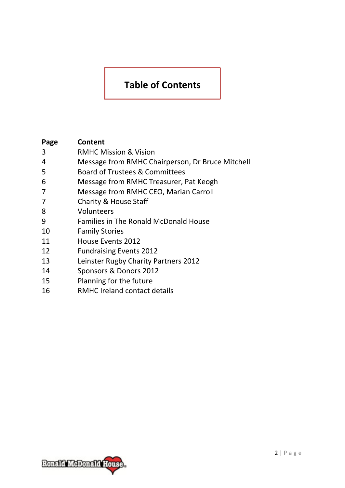### **Table of Contents**

| Page | Content                                          |
|------|--------------------------------------------------|
| 3    | <b>RMHC Mission &amp; Vision</b>                 |
| 4    | Message from RMHC Chairperson, Dr Bruce Mitchell |
| 5    | Board of Trustees & Committees                   |
| 6    | Message from RMHC Treasurer, Pat Keogh           |
| 7    | Message from RMHC CEO, Marian Carroll            |
| 7    | Charity & House Staff                            |
| 8    | Volunteers                                       |
| 9    | <b>Families in The Ronald McDonald House</b>     |
| 10   | <b>Family Stories</b>                            |
| 11   | House Events 2012                                |
| 12   | <b>Fundraising Events 2012</b>                   |
| 13   | Leinster Rugby Charity Partners 2012             |
| 14   | Sponsors & Donors 2012                           |
| 15   | Planning for the future                          |
| 16   | <b>RMHC Ireland contact details</b>              |

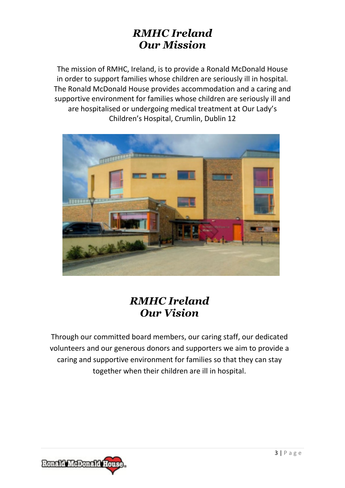### *RMHC Ireland Our Mission*

The mission of RMHC, Ireland, is to provide a Ronald McDonald House in order to support families whose children are seriously ill in hospital. The Ronald McDonald House provides accommodation and a caring and supportive environment for families whose children are seriously ill and are hospitalised or undergoing medical treatment at Our Lady's Children's Hospital, Crumlin, Dublin 12



# *RMHC Ireland Our Vision*

Through our committed board members, our caring staff, our dedicated volunteers and our generous donors and supporters we aim to provide a caring and supportive environment for families so that they can stay together when their children are ill in hospital.

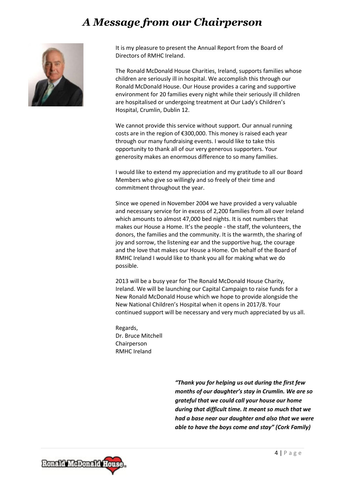# *A Message from our Chairperson*



It is my pleasure to present the Annual Report from the Board of Directors of RMHC Ireland.

The Ronald McDonald House Charities, Ireland, supports families whose children are seriously ill in hospital. We accomplish this through our Ronald McDonald House. Our House provides a caring and supportive environment for 20 families every night while their seriously ill children are hospitalised or undergoing treatment at Our Lady's Children's Hospital, Crumlin, Dublin 12.

We cannot provide this service without support. Our annual running costs are in the region of €300,000. This money is raised each year through our many fundraising events. I would like to take this opportunity to thank all of our very generous supporters. Your generosity makes an enormous difference to so many families.

I would like to extend my appreciation and my gratitude to all our Board Members who give so willingly and so freely of their time and commitment throughout the year.

Since we opened in November 2004 we have provided a very valuable and necessary service for in excess of 2,200 families from all over Ireland which amounts to almost 47,000 bed nights. It is not numbers that makes our House a Home. It's the people - the staff, the volunteers, the donors, the families and the community. It is the warmth, the sharing of joy and sorrow, the listening ear and the supportive hug, the courage and the love that makes our House a Home. On behalf of the Board of RMHC Ireland I would like to thank you all for making what we do possible.

2013 will be a busy year for The Ronald McDonald House Charity, Ireland. We will be launching our Capital Campaign to raise funds for a New Ronald McDonald House which we hope to provide alongside the New National Children's Hospital when it opens in 2017/8. Your continued support will be necessary and very much appreciated by us all.

Regards, Dr. Bruce Mitchell **Chairperson** RMHC Ireland

> *"Thank you for helping us out during the first few months of our daughter's stay in Crumlin. We are so grateful that we could call your house our home during that difficult time. It meant so much that we had a base near our daughter and also that we were able to have the boys come and stay" (Cork Family)*

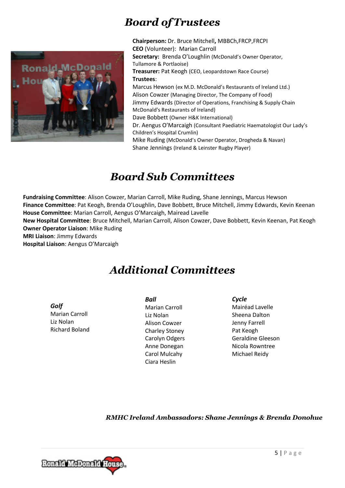# *Board ofTrustees*



**Chairperson:** Dr. Bruce Mitchell**,** MBBCh,FRCP,FRCPI **CEO** (Volunteer): Marian Carroll **Secretary:** Brenda O'Loughlin (McDonald's Owner Operator, Tullamore & Portlaoise) **Treasurer:** Pat Keogh (CEO, Leopardstown Race Course) **Trustees**: Marcus Hewson (ex M.D. McDonald's Restaurants of Ireland Ltd.) Alison Cowzer (Managing Director, The Company of Food) Jimmy Edwards (Director of Operations, Franchising & Supply Chain McDonald's Restaurants of Ireland) Dave Bobbett (Owner H&K International) Dr. Aengus O'Marcaigh (Consultant Paediatric Haematologist Our Lady's Children's Hospital Crumlin) Mike Ruding (McDonald's Owner Operator, Drogheda & Navan) Shane Jennings (Ireland & Leinster Rugby Player)

## *Board Sub Committees*

**Fundraising Committee**: Alison Cowzer, Marian Carroll, Mike Ruding, Shane Jennings, Marcus Hewson **Finance Committee**: Pat Keogh, Brenda O'Loughlin, Dave Bobbett, Bruce Mitchell, Jimmy Edwards, Kevin Keenan **House Committee**: Marian Carroll, Aengus O'Marcaigh, Mairead Lavelle

**New Hospital Committee**: Bruce Mitchell, Marian Carroll, Alison Cowzer, Dave Bobbett, Kevin Keenan, Pat Keogh **Owner Operator Liaison**: Mike Ruding

**MRI Liaison**: Jimmy Edwards

**Hospital Liaison**: Aengus O'Marcaigh

# *Additional Committees*

*Golf*  Marian Carroll Liz Nolan Richard Boland *Ball*  Marian Carroll Liz Nolan Alison Cowzer Charley Stoney Carolyn Odgers Anne Donegan Carol Mulcahy Ciara Heslin

*Cycle*  Mairéad Lavelle Sheena Dalton Jenny Farrell Pat Keogh Geraldine Gleeson Nicola Rowntree Michael Reidy

*RMHC Ireland Ambassadors: Shane Jennings & Brenda Donohue* 

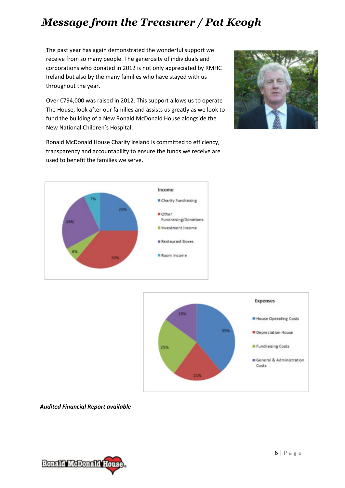# *Message from the Treasurer / Pat Keogh*

The past year has again demonstrated the wonderful support we receive from so many people. The generosity of individuals and corporations who donated in 2012 is not only appreciated by RMHC Ireland but also by the many families who have stayed with us throughout the year.

Over €794,000 was raised in 2012. This support allows us to operate The House, look after our families and assists us greatly as we look to fund the building of a New Ronald McDonald House alongside the New National Children's Hospital.



Ronald McDonald House Charity Ireland is committed to efficiency, transparency and accountability to ensure the funds we receive are used to benefit the families we serve.





#### *Audited Financial Report available*

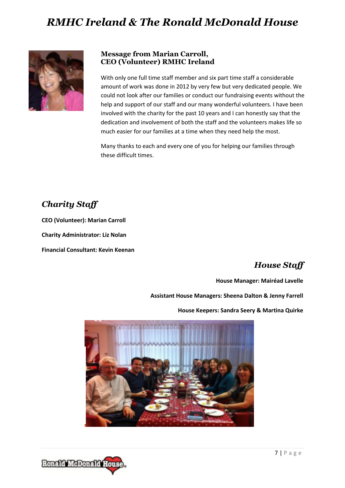## *RMHC Ireland & The Ronald McDonald House*



#### **Message from Marian Carroll, CEO (Volunteer) RMHC Ireland**

With only one full time staff member and six part time staff a considerable amount of work was done in 2012 by very few but very dedicated people. We could not look after our families or conduct our fundraising events without the help and support of our staff and our many wonderful volunteers. I have been involved with the charity for the past 10 years and I can honestly say that the dedication and involvement of both the staff and the volunteers makes life so much easier for our families at a time when they need help the most.

Many thanks to each and every one of you for helping our families through these difficult times.

### *Charity Staff*

**CEO (Volunteer): Marian Carroll** 

**Charity Administrator: Liz Nolan** 

**Financial Consultant: Kevin Keenan** 

### *House Staff*

**House Manager: Mairéad Lavelle** 

**Assistant House Managers: Sheena Dalton & Jenny Farrell** 

**House Keepers: Sandra Seery & Martina Quirke** 



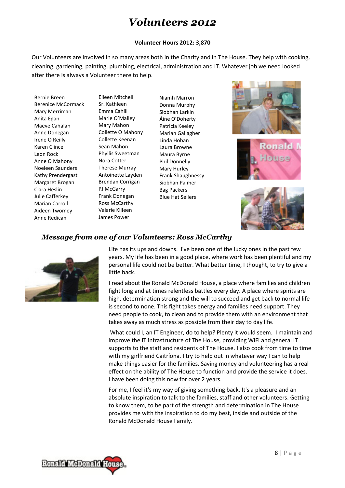### *Volunteers 2012*

#### **Volunteer Hours 2012: 3,870**

Our Volunteers are involved in so many areas both in the Charity and in The House. They help with cooking, cleaning, gardening, painting, plumbing, electrical, administration and IT. Whatever job we need looked after there is always a Volunteer there to help.

Bernie Breen Berenice McCormack Mary Merriman Anita Egan Maeve Cahalan Anne Donegan Irene O Reilly Karen Clince Leon Rock Anne O Mahony Noeleen Saunders Kathy Prendergast Margaret Brogan Ciara Heslin Julie Cafferkey Marian Carroll Aideen Twomey Anne Redican

Eileen Mitchell Sr. Kathleen Emma Cahill Marie O'Malley Mary Mahon Collette O Mahony Collette Keenan Sean Mahon Phyllis Sweetman Nora Cotter Therese Murray Antoinette Layden Brendan Corrigan PJ McGarry Frank Donegan Ross McCarthy Valarie Killeen James Power

Niamh Marron Donna Murphy Siobhan Larkin Áine O'Doherty Patricia Keeley Marian Gallagher Linda Hoban Laura Browne Maura Byrne Phil Donnelly Mary Hurley Frank Shaughnessy Siobhan Palmer Bag Packers Blue Hat Sellers







### *Message from one of our Volunteers: Ross McCarthy*



Life has its ups and downs. I've been one of the lucky ones in the past few years. My life has been in a good place, where work has been plentiful and my personal life could not be better. What better time, I thought, to try to give a little back.

I read about the Ronald McDonald House, a place where families and children fight long and at times relentless battles every day. A place where spirits are high, determination strong and the will to succeed and get back to normal life is second to none. This fight takes energy and families need support. They need people to cook, to clean and to provide them with an environment that takes away as much stress as possible from their day to day life.

 What could I, an IT Engineer, do to help? Plenty it would seem. I maintain and improve the IT infrastructure of The House, providing WiFi and general IT supports to the staff and residents of The House. I also cook from time to time with my girlfriend Caitríona. I try to help out in whatever way I can to help make things easier for the families. Saving money and volunteering has a real effect on the ability of The House to function and provide the service it does. I have been doing this now for over 2 years.

For me, I feel it's my way of giving something back. It's a pleasure and an absolute inspiration to talk to the families, staff and other volunteers. Getting to know them, to be part of the strength and determination in The House provides me with the inspiration to do my best, inside and outside of the Ronald McDonald House Family.

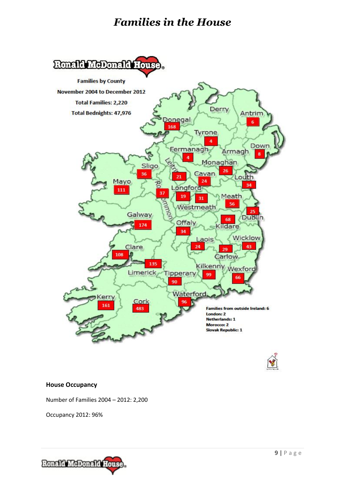### *Families in the House*



#### **House Occupancy**

Number of Families 2004 – 2012: 2,200

Occupancy 2012: 96%

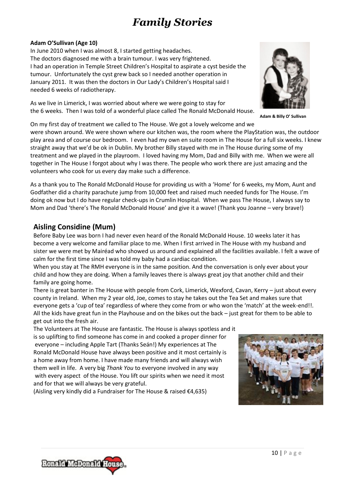# *Family Stories*

#### **Adam O'Sullivan (Age 10)**

In June 2010 when I was almost 8, I started getting headaches. The doctors diagnosed me with a brain tumour. I was very frightened. I had an operation in Temple Street Children's Hospital to aspirate a cyst beside the tumour. Unfortunately the cyst grew back so I needed another operation in January 2011. It was then the doctors in Our Lady's Children's Hospital said I needed 6 weeks of radiotherapy.

As we live in Limerick, I was worried about where we were going to stay for the 6 weeks. Then I was told of a wonderful place called The Ronald McDonald House.

On my first day of treatment we called to The House. We got a lovely welcome and we

were shown around. We were shown where our kitchen was, the room where the PlayStation was, the outdoor play area and of course our bedroom. I even had my own en suite room in The House for a full six weeks. I knew straight away that we'd be ok in Dublin. My brother Billy stayed with me in The House during some of my treatment and we played in the playroom. I loved having my Mom, Dad and Billy with me. When we were all together in The House I forgot about why I was there. The people who work there are just amazing and the volunteers who cook for us every day make such a difference.

As a thank you to The Ronald McDonald House for providing us with a 'Home' for 6 weeks, my Mom, Aunt and Godfather did a charity parachute jump from 10,000 feet and raised much needed funds for The House. I'm doing ok now but I do have regular check-ups in Crumlin Hospital. When we pass The House, I always say to Mom and Dad 'there's The Ronald McDonald House' and give it a wave! (Thank you Joanne – very brave!)

### **Aisling Considine (Mum)**

Before Baby Lee was born I had never even heard of the Ronald McDonald House. 10 weeks later it has become a very welcome and familiar place to me. When I first arrived in The House with my husband and sister we were met by Mairéad who showed us around and explained all the facilities available. I felt a wave of calm for the first time since I was told my baby had a cardiac condition.

When you stay at The RMH everyone is in the same position. And the conversation is only ever about your child and how they are doing. When a family leaves there is always great joy that another child and their family are going home.

There is great banter in The House with people from Cork, Limerick, Wexford, Cavan, Kerry – just about every county in Ireland. When my 2 year old, Joe, comes to stay he takes out the Tea Set and makes sure that everyone gets a 'cup of tea' regardless of where they come from or who won the 'match' at the week-end!!. All the kids have great fun in the Playhouse and on the bikes out the back – just great for them to be able to get out into the fresh air.

The Volunteers at The House are fantastic. The House is always spotless and it is so uplifting to find someone has come in and cooked a proper dinner for everyone – including Apple Tart (Thanks Seán!) My experiences at The Ronald McDonald House have always been positive and it most certainly is a home away from home. I have made many friends and will always wish them well in life. A very big *Thank You* to everyone involved in any way with every aspect of the House. You lift our spirits when we need it most and for that we will always be very grateful.

(Aisling very kindly did a Fundraiser for The House & raised €4,635)







**Adam & Billy O' Sullivan**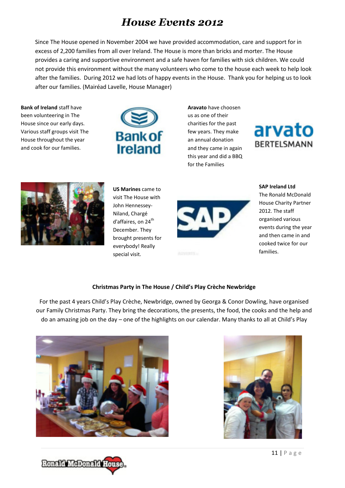### *House Events 2012*

Since The House opened in November 2004 we have provided accommodation, care and support for in excess of 2,200 families from all over Ireland. The House is more than bricks and morter. The House provides a caring and supportive environment and a safe haven for families with sick children. We could not provide this environment without the many volunteers who come to the house each week to help look after the families. During 2012 we had lots of happy events in the House. Thank you for helping us to look after our families. (Mairéad Lavelle, House Manager)

**Bank of Ireland** staff have been volunteering in The House since our early days. Various staff groups visit The House throughout the year and cook for our families.



**Aravato** have choosen us as one of their charities for the past few years. They make an annual donation and they came in again this year and did a BBQ for the Families





**US Marines** came to visit The House with John Hennessey-Niland, Chargé d'affaires, on 24<sup>th</sup> December. They brought presents for everybody! Really special visit.



**SAP Ireland Ltd** The Ronald McDonald House Charity Partner 2012. The staff organised various events during the year and then came in and cooked twice for our

families.

#### **Christmas Party in The House / Child's Play Crèche Newbridge**

For the past 4 years Child's Play Crèche, Newbridge, owned by Georga & Conor Dowling, have organised our Family Christmas Party. They bring the decorations, the presents, the food, the cooks and the help and do an amazing job on the day – one of the highlights on our calendar. Many thanks to all at Child's Play





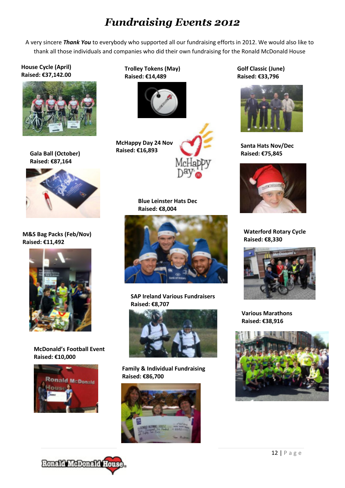## *Fundraising Events 2012*

A very sincere *Thank You* to everybody who supported all our fundraising efforts in 2012. We would also like to thank all those individuals and companies who did their own fundraising for the Ronald McDonald House

#### **House Cycle (April) Raised: €37,142.00**



**Gala Ball (October) Raised: €87,164**



**M&S Bag Packs (Feb/Nov) Raised: €11,492**



**McDonald's Football Event Raised: €10,000**



**Trolley Tokens (May) Raised: €14,489**



**McHappy Day 24 Nov Raised: €16,893**



**Blue Leinster Hats Dec Raised: €8,004**



**SAP Ireland Various Fundraisers Raised: €8,707**



**Family & Individual Fundraising Raised: €86,700**



**Golf Classic (June) Raised: €33,796**



**Santa Hats Nov/Dec Raised: €75,845**



**Waterford Rotary Cycle Raised: €8,330**



**Various Marathons Raised: €38,916**



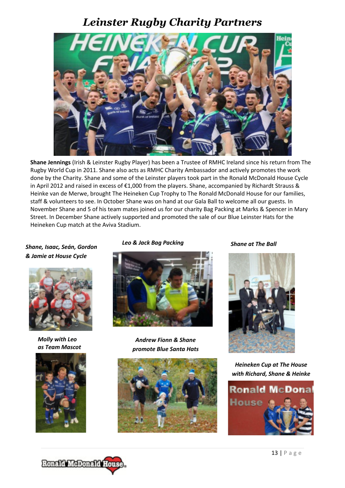### *Leinster Rugby Charity Partners*



 Street. In December Shane actively supported and promoted the sale of our Blue Leinster Hats for the **Leinster Rugby Supported Events**  Heineken Cup match at the Aviva Stadium. **Shane Jennings** (Irish & Leinster Rugby Player) has been a Trustee of RMHC Ireland since his return from The Rugby World Cup in 2011. Shane also acts as RMHC Charity Ambassador and actively promotes the work done by the Charity. Shane and some of the Leinster players took part in the Ronald McDonald House Cycle in April 2012 and raised in excess of €1,000 from the players. Shane, accompanied by Richardt Strauss & Heinke van de Merwe, brought The Heineken Cup Trophy to The Ronald McDonald House for our families, staff & volunteers to see. In October Shane was on hand at our Gala Ball to welcome all our guests. In November Shane and 5 of his team mates joined us for our charity Bag Packing at Marks & Spencer in Mary

#### *Shane, Isaac, Seán, Gordon & Jamie at House Cycle*



*Molly with Leo as Team Mascot* 



Leo & Jack Bag Packing **Shane at The Ball** 



*Andrew Fionn & Shane promote Blue Santa Hats* 





*Heineken Cup at The House with Richard, Shane & Heinke* 

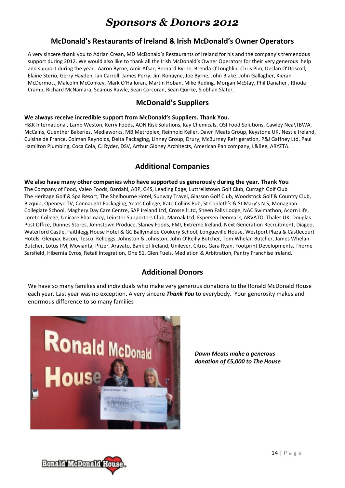### *Sponsors & Donors 2012*

#### **McDonald's Restaurants of Ireland & Irish McDonald's Owner Operators**

A very sincere thank you to Adrian Crean, MD McDonald's Restaurants of Ireland for his and the company's tremendous support during 2012. We would also like to thank all the Irish McDonald's Owner Operators for their very generous help and support during the year. Aaron Byrne, Amir Afsar, Bernard Byrne, Brenda O'Loughlin, Chris Pim, Declan O'Driscoll, Elaine Sterio, Gerry Hayden, Ian Carroll, James Perry, Jim Ronayne, Joe Byrne, John Blake, John Gallagher, Kieran McDermott, Malcolm McConkey, Mark O'Halloran, Martin Hoban, Mike Ruding, Morgan McStay, Phil Danaher , Rhoda Cramp, Richard McNamara, Seamus Rawle, Sean Corcoran, Sean Quirke, Siobhan Slater.

### **McDonald's Suppliers**

#### **We always receive incredible support from McDonald's Suppliers. Thank You.**

 Hamilton Plumbing, Coca Cola, CJ Ryder, DSV, Arthur Gibney Architects, American Pan company, L&Bee, ARYZTA. H&K International, Lamb Weston, Kerry Foods, AON Risk Solutions, Kay Chemicals, OSI Food Solutions, Cawley Nea\TBWA, McCains, Guenther Bakeries, Mediaworks, MB Metroplex, Reinhold Keller, Dawn Meats Group, Keystone UK, Nestle Ireland, Cuisine de France, Colman Reynolds, Delta Packaging, Linney Group, Drury, McBurney Refrigeration, P&J Gaffney Ltd. Paul

### **Additional Companies**

**We also have many other companies who have supported us generously during the year. Thank You**  The Company of Food, Valeo Foods, Bardahl, ABP, G4S, Leading Edge, Luttrellstown Golf Club, Curragh Golf Club The Heritage Golf & Spa Resort, The Shelbourne Hotel, Sunway Travel, Glasson Golf Club, Woodstock Golf & Country Club, Bizquip, Openeye TV, Connaught Packaging, Yeats College, Kate Collins Pub, St Conleth's & St Mary's N.S, Monaghan Collegiate School, Maghery Day Care Centre, SAP Ireland Ltd, Crossell Ltd, Sheen Falls Lodge, NAC Swimathon, Acorn Life, Loreto College, Unicare Pharmacy, Leinster Supporters Club, Maroak Ltd, Espersen Denmark, ARVATO, Thales UK, Douglas Post Office, Dunnes Stores, Johnstown Produce, Slaney Foods, FMI, Extreme Ireland, Next Generation Recruitment, Diageo, Waterford Castle, Faithlegg House Hotel & GC Ballymaloe Cookery School, Longueville House, Westport Plaza & Castlecourt Hotels, Glenpac Bacon, Tesco, Kelloggs, Johnston & Johnston, John O'Reilly Butcher, Tom Whelan Butcher, James Whelan Butcher, Lotus FM, Movianta, Pfizer, Aravato, Bank of Ireland, Unilever, Citrix, Gara Ryan, Footprint Developments, Thorne Sarsfield, Hibernia Evros, Retail Integration, One 51, Glen Fuels, Mediation & Arbitration, Pantry Franchise Ireland.

### **Additional Donors**

We have so many families and individuals who make very generous donations to the Ronald McDonald House each year. Last year was no exception. A very sincere *Thank You* to everybody. Your generosity makes and enormous difference to so many families



*Dawn Meats make a generous donation of €5,000 to The House* 

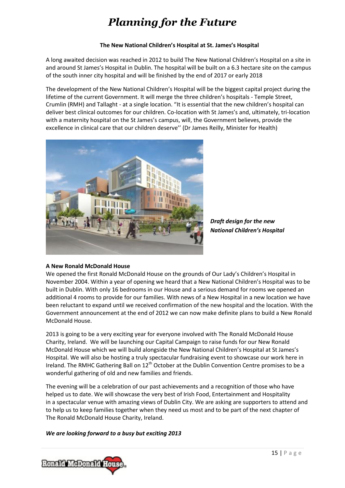# *Planning for the Future*

#### **The New National Children's Hospital at St. James's Hospital**

A long awaited decision was reached in 2012 to build The New National Children's Hospital on a site in and around St James's Hospital in Dublin. The hospital will be built on a 6.3 hectare site on the campus of the south inner city hospital and will be finished by the end of 2017 or early 2018

The development of the New National Children's Hospital will be the biggest capital project during the lifetime of the current Government. It will merge the three children's hospitals - Temple Street, Crumlin (RMH) and Tallaght - at a single location. "It is essential that the new children's hospital can deliver best clinical outcomes for our children. Co-location with St James's and, ultimately, tri-location with a maternity hospital on the St James's campus, will, the Government believes, provide the excellence in clinical care that our children deserve'' (Dr James Reilly, Minister for Health)



*Draft design for the new National Children's Hospital*

#### **A New Ronald McDonald House**

We opened the first Ronald McDonald House on the grounds of Our Lady's Children's Hospital in November 2004. Within a year of opening we heard that a New National Children's Hospital was to be built in Dublin. With only 16 bedrooms in our House and a serious demand for rooms we opened an additional 4 rooms to provide for our families. With news of a New Hospital in a new location we have been reluctant to expand until we received confirmation of the new hospital and the location. With the Government announcement at the end of 2012 we can now make definite plans to build a New Ronald McDonald House.

2013 is going to be a very exciting year for everyone involved with The Ronald McDonald House Charity, Ireland. We will be launching our Capital Campaign to raise funds for our New Ronald McDonald House which we will build alongside the New National Children's Hospital at St James's Hospital. We will also be hosting a truly spectacular fundraising event to showcase our work here in Ireland. The RMHC Gathering Ball on 12<sup>th</sup> October at the Dublin Convention Centre promises to be a wonderful gathering of old and new families and friends.

The evening will be a celebration of our past achievements and a recognition of those who have helped us to date. We will showcase the very best of Irish Food, Entertainment and Hospitality in a spectacular venue with amazing views of Dublin City. We are asking are supporters to attend and to help us to keep families together when they need us most and to be part of the next chapter of The Ronald McDonald House Charity, Ireland.

*We are looking forward to a busy but exciting 2013*